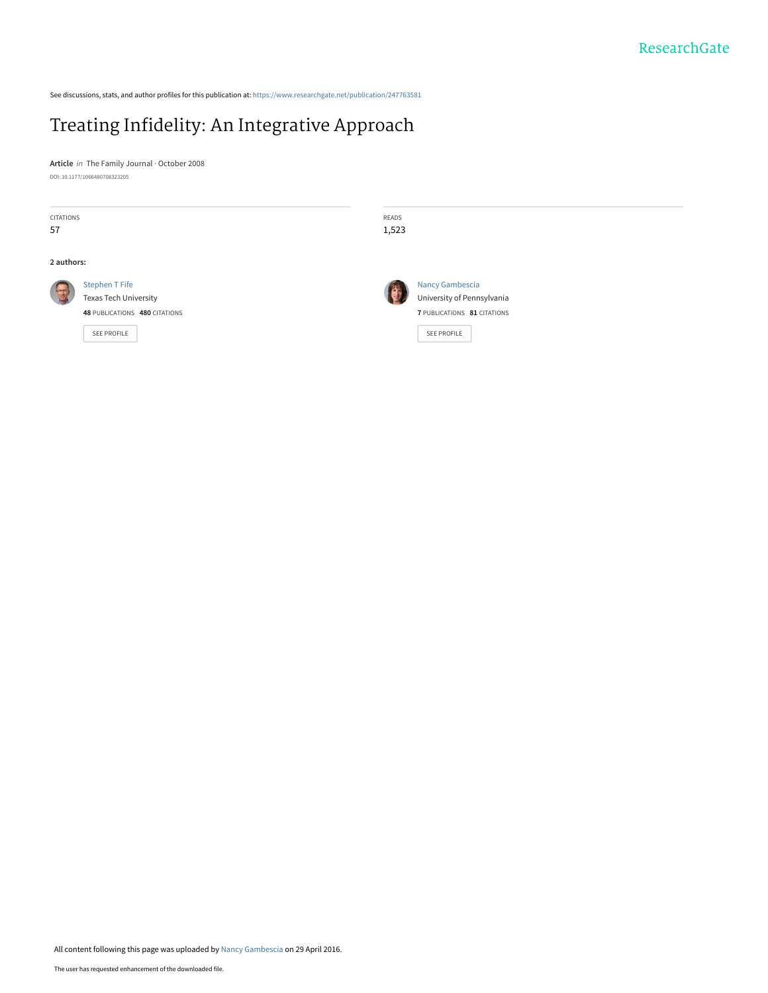See discussions, stats, and author profiles for this publication at: [https://www.researchgate.net/publication/247763581](https://www.researchgate.net/publication/247763581_Treating_Infidelity_An_Integrative_Approach?enrichId=rgreq-ae5379918b260a2db237d5309c7f989e-XXX&enrichSource=Y292ZXJQYWdlOzI0Nzc2MzU4MTtBUzozNTYxNTc1NzYyMzcwNThAMTQ2MTkyNTk5MTA5Ng%3D%3D&el=1_x_2&_esc=publicationCoverPdf)

### [Treating Infidelity: An Integrative Approach](https://www.researchgate.net/publication/247763581_Treating_Infidelity_An_Integrative_Approach?enrichId=rgreq-ae5379918b260a2db237d5309c7f989e-XXX&enrichSource=Y292ZXJQYWdlOzI0Nzc2MzU4MTtBUzozNTYxNTc1NzYyMzcwNThAMTQ2MTkyNTk5MTA5Ng%3D%3D&el=1_x_3&_esc=publicationCoverPdf)

**Article** in The Family Journal · October 2008 DOI: 10.1177/1066480708323205

| CITATIONS<br>57 |                                                                                                       | READS<br>1,523 |                                                                                                           |
|-----------------|-------------------------------------------------------------------------------------------------------|----------------|-----------------------------------------------------------------------------------------------------------|
| 2 authors:      |                                                                                                       |                |                                                                                                           |
|                 | <b>Stephen T Fife</b><br><b>Texas Tech University</b><br>48 PUBLICATIONS 480 CITATIONS<br>SEE PROFILE |                | <b>Nancy Gambescia</b><br>University of Pennsylvania<br>7 PUBLICATIONS 81 CITATIONS<br><b>SEE PROFILE</b> |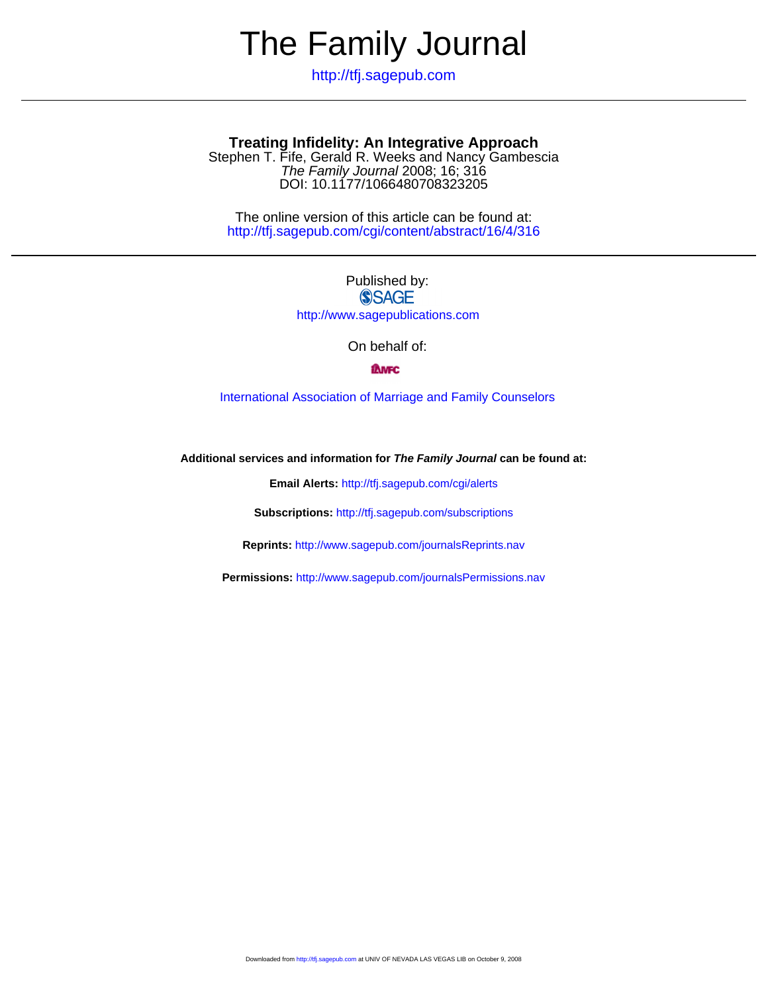# The Family Journal

http://tfj.sagepub.com

### **Treating Infidelity: An Integrative Approach**

DOI: 10.1177/1066480708323205 The Family Journal 2008; 16; 316 Stephen T. Fife, Gerald R. Weeks and Nancy Gambescia

http://tfj.sagepub.com/cgi/content/abstract/16/4/316 The online version of this article can be found at:

## Published by:<br>
SAGE

http://www.sagepublications.com

On behalf of:

#### **fAMEC**

[International Association of Marriage and Family Counselors](http://www.iamfc.com)

**Additional services and information for The Family Journal can be found at:**

**Email Alerts:** <http://tfj.sagepub.com/cgi/alerts>

**Subscriptions:** <http://tfj.sagepub.com/subscriptions>

**Reprints:** <http://www.sagepub.com/journalsReprints.nav>

**Permissions:** <http://www.sagepub.com/journalsPermissions.nav>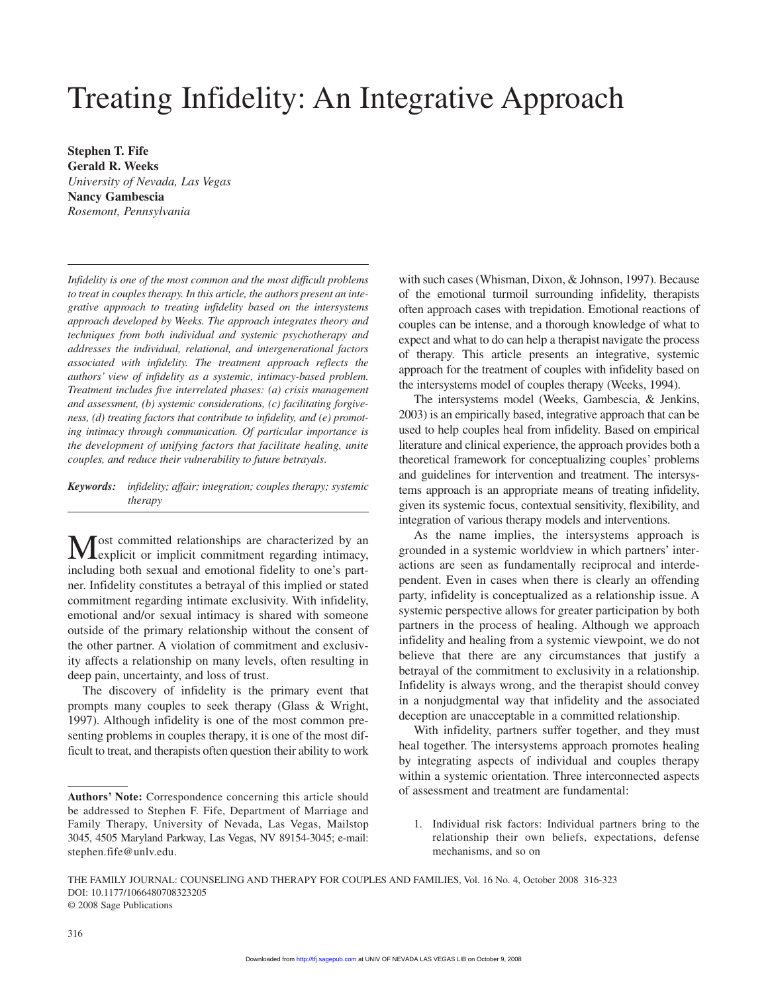### Treating Infidelity: An Integrative Approach

**Stephen T. Fife Gerald R. Weeks** *University of Nevada, Las Vegas* **Nancy Gambescia** *Rosemont, Pennsylvania*

*Infidelity is one of the most common and the most difficult problems to treat in couples therapy. In this article, the authors present an integrative approach to treating infidelity based on the intersystems approach developed by Weeks. The approach integrates theory and techniques from both individual and systemic psychotherapy and addresses the individual, relational, and intergenerational factors associated with infidelity. The treatment approach reflects the authors' view of infidelity as a systemic, intimacy-based problem. Treatment includes five interrelated phases: (a) crisis management and assessment, (b) systemic considerations, (c) facilitating forgiveness, (d) treating factors that contribute to infidelity, and (e) promoting intimacy through communication. Of particular importance is the development of unifying factors that facilitate healing, unite couples, and reduce their vulnerability to future betrayals*.

*Keywords: infidelity; affair; integration; couples therapy; systemic therapy*

Most committed relationships are characterized by an explicit or implicit commitment regarding intimacy, including both sexual and emotional fidelity to one's partner. Infidelity constitutes a betrayal of this implied or stated commitment regarding intimate exclusivity. With infidelity, emotional and/or sexual intimacy is shared with someone outside of the primary relationship without the consent of the other partner. A violation of commitment and exclusivity affects a relationship on many levels, often resulting in deep pain, uncertainty, and loss of trust.

The discovery of infidelity is the primary event that prompts many couples to seek therapy (Glass & Wright, 1997). Although infidelity is one of the most common presenting problems in couples therapy, it is one of the most difficult to treat, and therapists often question their ability to work

with such cases (Whisman, Dixon, & Johnson, 1997). Because of the emotional turmoil surrounding infidelity, therapists often approach cases with trepidation. Emotional reactions of couples can be intense, and a thorough knowledge of what to expect and what to do can help a therapist navigate the process of therapy. This article presents an integrative, systemic approach for the treatment of couples with infidelity based on the intersystems model of couples therapy (Weeks, 1994).

The intersystems model (Weeks, Gambescia, & Jenkins, 2003) is an empirically based, integrative approach that can be used to help couples heal from infidelity. Based on empirical literature and clinical experience, the approach provides both a theoretical framework for conceptualizing couples' problems and guidelines for intervention and treatment. The intersystems approach is an appropriate means of treating infidelity, given its systemic focus, contextual sensitivity, flexibility, and integration of various therapy models and interventions.

As the name implies, the intersystems approach is grounded in a systemic worldview in which partners' interactions are seen as fundamentally reciprocal and interdependent. Even in cases when there is clearly an offending party, infidelity is conceptualized as a relationship issue. A systemic perspective allows for greater participation by both partners in the process of healing. Although we approach infidelity and healing from a systemic viewpoint, we do not believe that there are any circumstances that justify a betrayal of the commitment to exclusivity in a relationship. Infidelity is always wrong, and the therapist should convey in a nonjudgmental way that infidelity and the associated deception are unacceptable in a committed relationship.

With infidelity, partners suffer together, and they must heal together. The intersystems approach promotes healing by integrating aspects of individual and couples therapy within a systemic orientation. Three interconnected aspects of assessment and treatment are fundamental:

1. Individual risk factors: Individual partners bring to the relationship their own beliefs, expectations, defense mechanisms, and so on

THE FAMILY JOURNAL: COUNSELING AND THERAPY FOR COUPLES AND FAMILIES, Vol. 16 No. 4, October 2008 316-323 DOI: 10.1177/1066480708323205 © 2008 Sage Publications

**Authors' Note:** Correspondence concerning this article should be addressed to Stephen F. Fife, Department of Marriage and Family Therapy, University of Nevada, Las Vegas, Mailstop 3045, 4505 Maryland Parkway, Las Vegas, NV 89154-3045; e-mail: stephen.fife@unlv.edu.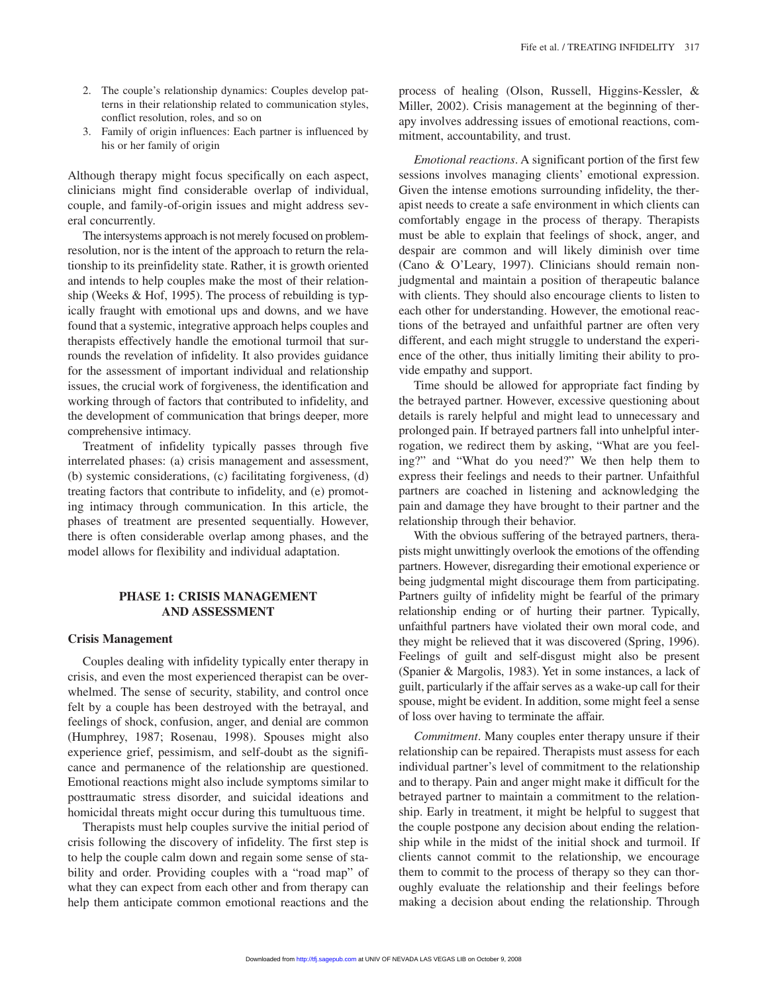- 2. The couple's relationship dynamics: Couples develop patterns in their relationship related to communication styles, conflict resolution, roles, and so on
- 3. Family of origin influences: Each partner is influenced by his or her family of origin

Although therapy might focus specifically on each aspect, clinicians might find considerable overlap of individual, couple, and family-of-origin issues and might address several concurrently.

The intersystems approach is not merely focused on problemresolution, nor is the intent of the approach to return the relationship to its preinfidelity state. Rather, it is growth oriented and intends to help couples make the most of their relationship (Weeks & Hof, 1995). The process of rebuilding is typically fraught with emotional ups and downs, and we have found that a systemic, integrative approach helps couples and therapists effectively handle the emotional turmoil that surrounds the revelation of infidelity. It also provides guidance for the assessment of important individual and relationship issues, the crucial work of forgiveness, the identification and working through of factors that contributed to infidelity, and the development of communication that brings deeper, more comprehensive intimacy.

Treatment of infidelity typically passes through five interrelated phases: (a) crisis management and assessment, (b) systemic considerations, (c) facilitating forgiveness, (d) treating factors that contribute to infidelity, and (e) promoting intimacy through communication. In this article, the phases of treatment are presented sequentially. However, there is often considerable overlap among phases, and the model allows for flexibility and individual adaptation.

#### **PHASE 1: CRISIS MANAGEMENT AND ASSESSMENT**

#### **Crisis Management**

Couples dealing with infidelity typically enter therapy in crisis, and even the most experienced therapist can be overwhelmed. The sense of security, stability, and control once felt by a couple has been destroyed with the betrayal, and feelings of shock, confusion, anger, and denial are common (Humphrey, 1987; Rosenau, 1998). Spouses might also experience grief, pessimism, and self-doubt as the significance and permanence of the relationship are questioned. Emotional reactions might also include symptoms similar to posttraumatic stress disorder, and suicidal ideations and homicidal threats might occur during this tumultuous time.

Therapists must help couples survive the initial period of crisis following the discovery of infidelity. The first step is to help the couple calm down and regain some sense of stability and order. Providing couples with a "road map" of what they can expect from each other and from therapy can help them anticipate common emotional reactions and the

process of healing (Olson, Russell, Higgins-Kessler, & Miller, 2002). Crisis management at the beginning of therapy involves addressing issues of emotional reactions, commitment, accountability, and trust.

*Emotional reactions*. A significant portion of the first few sessions involves managing clients' emotional expression. Given the intense emotions surrounding infidelity, the therapist needs to create a safe environment in which clients can comfortably engage in the process of therapy. Therapists must be able to explain that feelings of shock, anger, and despair are common and will likely diminish over time (Cano & O'Leary, 1997). Clinicians should remain nonjudgmental and maintain a position of therapeutic balance with clients. They should also encourage clients to listen to each other for understanding. However, the emotional reactions of the betrayed and unfaithful partner are often very different, and each might struggle to understand the experience of the other, thus initially limiting their ability to provide empathy and support.

Time should be allowed for appropriate fact finding by the betrayed partner. However, excessive questioning about details is rarely helpful and might lead to unnecessary and prolonged pain. If betrayed partners fall into unhelpful interrogation, we redirect them by asking, "What are you feeling?" and "What do you need?" We then help them to express their feelings and needs to their partner. Unfaithful partners are coached in listening and acknowledging the pain and damage they have brought to their partner and the relationship through their behavior.

With the obvious suffering of the betrayed partners, therapists might unwittingly overlook the emotions of the offending partners. However, disregarding their emotional experience or being judgmental might discourage them from participating. Partners guilty of infidelity might be fearful of the primary relationship ending or of hurting their partner. Typically, unfaithful partners have violated their own moral code, and they might be relieved that it was discovered (Spring, 1996). Feelings of guilt and self-disgust might also be present (Spanier & Margolis, 1983). Yet in some instances, a lack of guilt, particularly if the affair serves as a wake-up call for their spouse, might be evident. In addition, some might feel a sense of loss over having to terminate the affair.

*Commitment*. Many couples enter therapy unsure if their relationship can be repaired. Therapists must assess for each individual partner's level of commitment to the relationship and to therapy. Pain and anger might make it difficult for the betrayed partner to maintain a commitment to the relationship. Early in treatment, it might be helpful to suggest that the couple postpone any decision about ending the relationship while in the midst of the initial shock and turmoil. If clients cannot commit to the relationship, we encourage them to commit to the process of therapy so they can thoroughly evaluate the relationship and their feelings before making a decision about ending the relationship. Through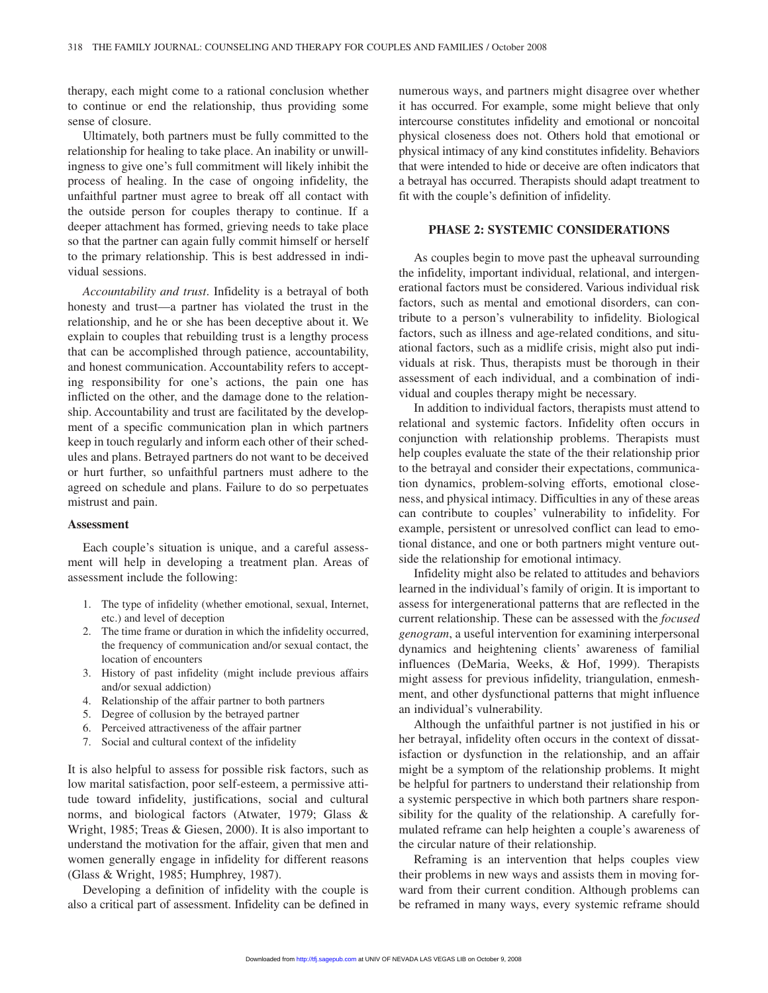therapy, each might come to a rational conclusion whether to continue or end the relationship, thus providing some sense of closure.

Ultimately, both partners must be fully committed to the relationship for healing to take place. An inability or unwillingness to give one's full commitment will likely inhibit the process of healing. In the case of ongoing infidelity, the unfaithful partner must agree to break off all contact with the outside person for couples therapy to continue. If a deeper attachment has formed, grieving needs to take place so that the partner can again fully commit himself or herself to the primary relationship. This is best addressed in individual sessions.

*Accountability and trust*. Infidelity is a betrayal of both honesty and trust—a partner has violated the trust in the relationship, and he or she has been deceptive about it. We explain to couples that rebuilding trust is a lengthy process that can be accomplished through patience, accountability, and honest communication. Accountability refers to accepting responsibility for one's actions, the pain one has inflicted on the other, and the damage done to the relationship. Accountability and trust are facilitated by the development of a specific communication plan in which partners keep in touch regularly and inform each other of their schedules and plans. Betrayed partners do not want to be deceived or hurt further, so unfaithful partners must adhere to the agreed on schedule and plans. Failure to do so perpetuates mistrust and pain.

#### **Assessment**

Each couple's situation is unique, and a careful assessment will help in developing a treatment plan. Areas of assessment include the following:

- 1. The type of infidelity (whether emotional, sexual, Internet, etc.) and level of deception
- 2. The time frame or duration in which the infidelity occurred, the frequency of communication and/or sexual contact, the location of encounters
- 3. History of past infidelity (might include previous affairs and/or sexual addiction)
- 4. Relationship of the affair partner to both partners
- 5. Degree of collusion by the betrayed partner
- 6. Perceived attractiveness of the affair partner
- 7. Social and cultural context of the infidelity

It is also helpful to assess for possible risk factors, such as low marital satisfaction, poor self-esteem, a permissive attitude toward infidelity, justifications, social and cultural norms, and biological factors (Atwater, 1979; Glass & Wright, 1985; Treas & Giesen, 2000). It is also important to understand the motivation for the affair, given that men and women generally engage in infidelity for different reasons (Glass & Wright, 1985; Humphrey, 1987).

Developing a definition of infidelity with the couple is also a critical part of assessment. Infidelity can be defined in

numerous ways, and partners might disagree over whether it has occurred. For example, some might believe that only intercourse constitutes infidelity and emotional or noncoital physical closeness does not. Others hold that emotional or physical intimacy of any kind constitutes infidelity. Behaviors that were intended to hide or deceive are often indicators that a betrayal has occurred. Therapists should adapt treatment to fit with the couple's definition of infidelity.

#### **PHASE 2: SYSTEMIC CONSIDERATIONS**

As couples begin to move past the upheaval surrounding the infidelity, important individual, relational, and intergenerational factors must be considered. Various individual risk factors, such as mental and emotional disorders, can contribute to a person's vulnerability to infidelity. Biological factors, such as illness and age-related conditions, and situational factors, such as a midlife crisis, might also put individuals at risk. Thus, therapists must be thorough in their assessment of each individual, and a combination of individual and couples therapy might be necessary.

In addition to individual factors, therapists must attend to relational and systemic factors. Infidelity often occurs in conjunction with relationship problems. Therapists must help couples evaluate the state of the their relationship prior to the betrayal and consider their expectations, communication dynamics, problem-solving efforts, emotional closeness, and physical intimacy. Difficulties in any of these areas can contribute to couples' vulnerability to infidelity. For example, persistent or unresolved conflict can lead to emotional distance, and one or both partners might venture outside the relationship for emotional intimacy.

Infidelity might also be related to attitudes and behaviors learned in the individual's family of origin. It is important to assess for intergenerational patterns that are reflected in the current relationship. These can be assessed with the *focused genogram*, a useful intervention for examining interpersonal dynamics and heightening clients' awareness of familial influences (DeMaria, Weeks, & Hof, 1999). Therapists might assess for previous infidelity, triangulation, enmeshment, and other dysfunctional patterns that might influence an individual's vulnerability.

Although the unfaithful partner is not justified in his or her betrayal, infidelity often occurs in the context of dissatisfaction or dysfunction in the relationship, and an affair might be a symptom of the relationship problems. It might be helpful for partners to understand their relationship from a systemic perspective in which both partners share responsibility for the quality of the relationship. A carefully formulated reframe can help heighten a couple's awareness of the circular nature of their relationship.

Reframing is an intervention that helps couples view their problems in new ways and assists them in moving forward from their current condition. Although problems can be reframed in many ways, every systemic reframe should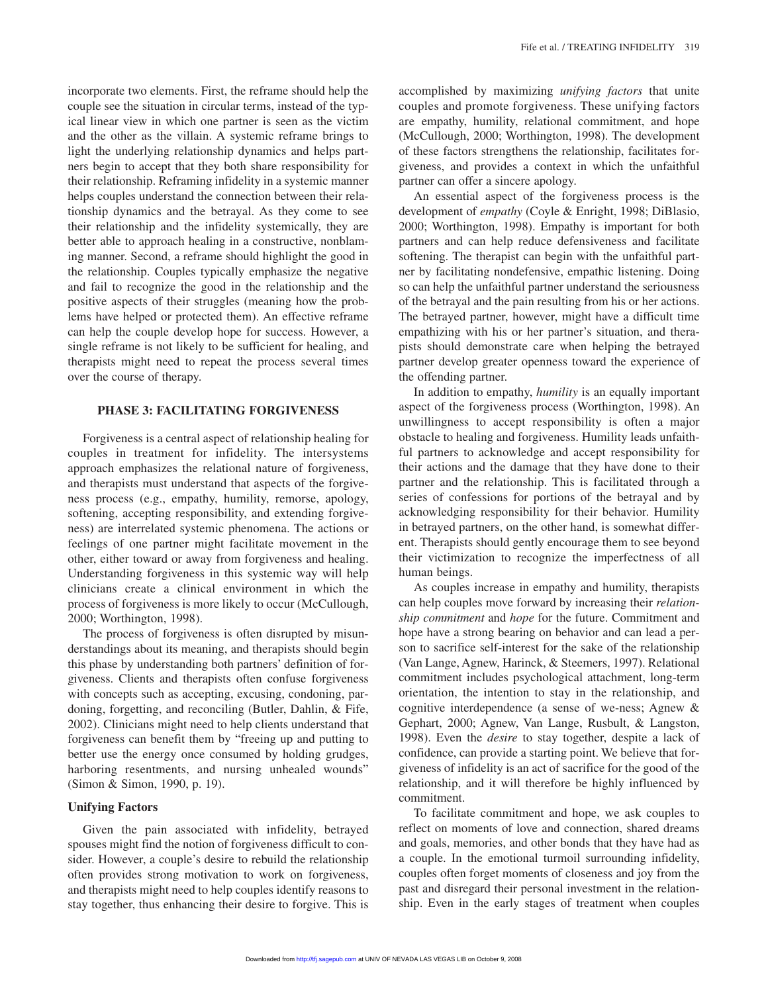incorporate two elements. First, the reframe should help the couple see the situation in circular terms, instead of the typical linear view in which one partner is seen as the victim and the other as the villain. A systemic reframe brings to light the underlying relationship dynamics and helps partners begin to accept that they both share responsibility for their relationship. Reframing infidelity in a systemic manner helps couples understand the connection between their relationship dynamics and the betrayal. As they come to see their relationship and the infidelity systemically, they are better able to approach healing in a constructive, nonblaming manner. Second, a reframe should highlight the good in the relationship. Couples typically emphasize the negative and fail to recognize the good in the relationship and the positive aspects of their struggles (meaning how the problems have helped or protected them). An effective reframe can help the couple develop hope for success. However, a single reframe is not likely to be sufficient for healing, and therapists might need to repeat the process several times over the course of therapy.

#### **PHASE 3: FACILITATING FORGIVENESS**

Forgiveness is a central aspect of relationship healing for couples in treatment for infidelity. The intersystems approach emphasizes the relational nature of forgiveness, and therapists must understand that aspects of the forgiveness process (e.g., empathy, humility, remorse, apology, softening, accepting responsibility, and extending forgiveness) are interrelated systemic phenomena. The actions or feelings of one partner might facilitate movement in the other, either toward or away from forgiveness and healing. Understanding forgiveness in this systemic way will help clinicians create a clinical environment in which the process of forgiveness is more likely to occur (McCullough, 2000; Worthington, 1998).

The process of forgiveness is often disrupted by misunderstandings about its meaning, and therapists should begin this phase by understanding both partners' definition of forgiveness. Clients and therapists often confuse forgiveness with concepts such as accepting, excusing, condoning, pardoning, forgetting, and reconciling (Butler, Dahlin, & Fife, 2002). Clinicians might need to help clients understand that forgiveness can benefit them by "freeing up and putting to better use the energy once consumed by holding grudges, harboring resentments, and nursing unhealed wounds" (Simon & Simon, 1990, p. 19).

#### **Unifying Factors**

Given the pain associated with infidelity, betrayed spouses might find the notion of forgiveness difficult to consider. However, a couple's desire to rebuild the relationship often provides strong motivation to work on forgiveness, and therapists might need to help couples identify reasons to stay together, thus enhancing their desire to forgive. This is

accomplished by maximizing *unifying factors* that unite couples and promote forgiveness. These unifying factors are empathy, humility, relational commitment, and hope (McCullough, 2000; Worthington, 1998). The development of these factors strengthens the relationship, facilitates forgiveness, and provides a context in which the unfaithful partner can offer a sincere apology.

An essential aspect of the forgiveness process is the development of *empathy* (Coyle & Enright, 1998; DiBlasio, 2000; Worthington, 1998). Empathy is important for both partners and can help reduce defensiveness and facilitate softening. The therapist can begin with the unfaithful partner by facilitating nondefensive, empathic listening. Doing so can help the unfaithful partner understand the seriousness of the betrayal and the pain resulting from his or her actions. The betrayed partner, however, might have a difficult time empathizing with his or her partner's situation, and therapists should demonstrate care when helping the betrayed partner develop greater openness toward the experience of the offending partner.

In addition to empathy, *humility* is an equally important aspect of the forgiveness process (Worthington, 1998). An unwillingness to accept responsibility is often a major obstacle to healing and forgiveness. Humility leads unfaithful partners to acknowledge and accept responsibility for their actions and the damage that they have done to their partner and the relationship. This is facilitated through a series of confessions for portions of the betrayal and by acknowledging responsibility for their behavior. Humility in betrayed partners, on the other hand, is somewhat different. Therapists should gently encourage them to see beyond their victimization to recognize the imperfectness of all human beings.

As couples increase in empathy and humility, therapists can help couples move forward by increasing their *relationship commitment* and *hope* for the future. Commitment and hope have a strong bearing on behavior and can lead a person to sacrifice self-interest for the sake of the relationship (Van Lange, Agnew, Harinck, & Steemers, 1997). Relational commitment includes psychological attachment, long-term orientation, the intention to stay in the relationship, and cognitive interdependence (a sense of we-ness; Agnew & Gephart, 2000; Agnew, Van Lange, Rusbult, & Langston, 1998). Even the *desire* to stay together, despite a lack of confidence, can provide a starting point. We believe that forgiveness of infidelity is an act of sacrifice for the good of the relationship, and it will therefore be highly influenced by commitment.

To facilitate commitment and hope, we ask couples to reflect on moments of love and connection, shared dreams and goals, memories, and other bonds that they have had as a couple. In the emotional turmoil surrounding infidelity, couples often forget moments of closeness and joy from the past and disregard their personal investment in the relationship. Even in the early stages of treatment when couples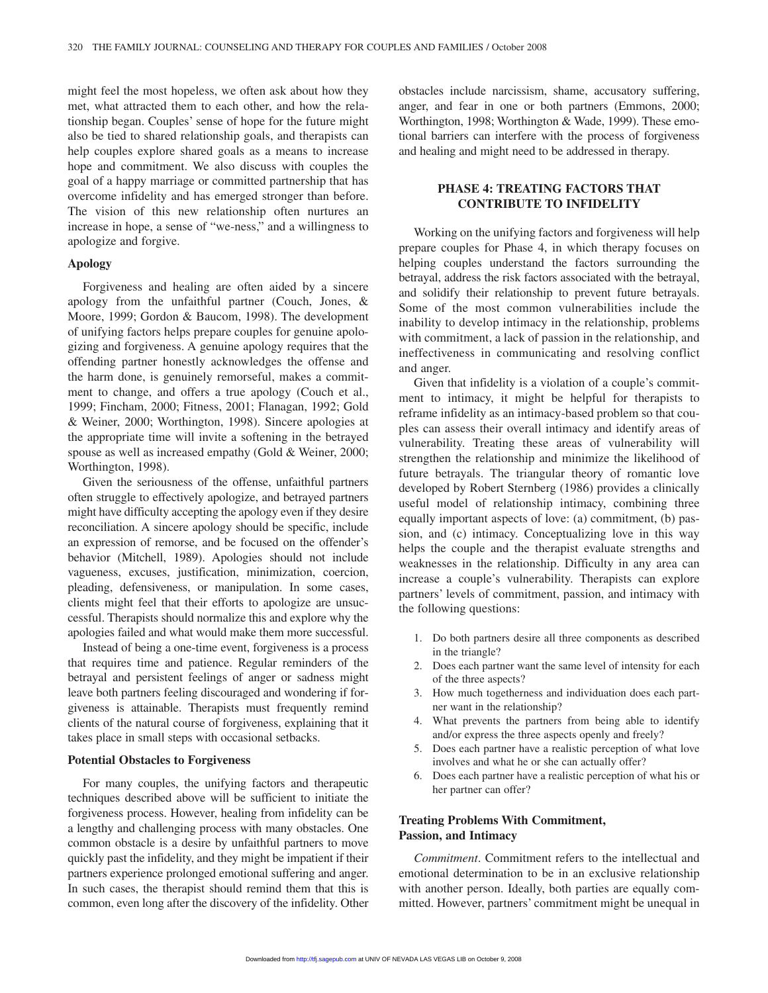might feel the most hopeless, we often ask about how they met, what attracted them to each other, and how the relationship began. Couples' sense of hope for the future might also be tied to shared relationship goals, and therapists can help couples explore shared goals as a means to increase hope and commitment. We also discuss with couples the goal of a happy marriage or committed partnership that has overcome infidelity and has emerged stronger than before. The vision of this new relationship often nurtures an increase in hope, a sense of "we-ness," and a willingness to apologize and forgive.

#### **Apology**

Forgiveness and healing are often aided by a sincere apology from the unfaithful partner (Couch, Jones, & Moore, 1999; Gordon & Baucom, 1998). The development of unifying factors helps prepare couples for genuine apologizing and forgiveness. A genuine apology requires that the offending partner honestly acknowledges the offense and the harm done, is genuinely remorseful, makes a commitment to change, and offers a true apology (Couch et al., 1999; Fincham, 2000; Fitness, 2001; Flanagan, 1992; Gold & Weiner, 2000; Worthington, 1998). Sincere apologies at the appropriate time will invite a softening in the betrayed spouse as well as increased empathy (Gold & Weiner, 2000; Worthington, 1998).

Given the seriousness of the offense, unfaithful partners often struggle to effectively apologize, and betrayed partners might have difficulty accepting the apology even if they desire reconciliation. A sincere apology should be specific, include an expression of remorse, and be focused on the offender's behavior (Mitchell, 1989). Apologies should not include vagueness, excuses, justification, minimization, coercion, pleading, defensiveness, or manipulation. In some cases, clients might feel that their efforts to apologize are unsuccessful. Therapists should normalize this and explore why the apologies failed and what would make them more successful.

Instead of being a one-time event, forgiveness is a process that requires time and patience. Regular reminders of the betrayal and persistent feelings of anger or sadness might leave both partners feeling discouraged and wondering if forgiveness is attainable. Therapists must frequently remind clients of the natural course of forgiveness, explaining that it takes place in small steps with occasional setbacks.

#### **Potential Obstacles to Forgiveness**

For many couples, the unifying factors and therapeutic techniques described above will be sufficient to initiate the forgiveness process. However, healing from infidelity can be a lengthy and challenging process with many obstacles. One common obstacle is a desire by unfaithful partners to move quickly past the infidelity, and they might be impatient if their partners experience prolonged emotional suffering and anger. In such cases, the therapist should remind them that this is common, even long after the discovery of the infidelity. Other obstacles include narcissism, shame, accusatory suffering, anger, and fear in one or both partners (Emmons, 2000; Worthington, 1998; Worthington & Wade, 1999). These emotional barriers can interfere with the process of forgiveness and healing and might need to be addressed in therapy.

#### **PHASE 4: TREATING FACTORS THAT CONTRIBUTE TO INFIDELITY**

Working on the unifying factors and forgiveness will help prepare couples for Phase 4, in which therapy focuses on helping couples understand the factors surrounding the betrayal, address the risk factors associated with the betrayal, and solidify their relationship to prevent future betrayals. Some of the most common vulnerabilities include the inability to develop intimacy in the relationship, problems with commitment, a lack of passion in the relationship, and ineffectiveness in communicating and resolving conflict and anger.

Given that infidelity is a violation of a couple's commitment to intimacy, it might be helpful for therapists to reframe infidelity as an intimacy-based problem so that couples can assess their overall intimacy and identify areas of vulnerability. Treating these areas of vulnerability will strengthen the relationship and minimize the likelihood of future betrayals. The triangular theory of romantic love developed by Robert Sternberg (1986) provides a clinically useful model of relationship intimacy, combining three equally important aspects of love: (a) commitment, (b) passion, and (c) intimacy. Conceptualizing love in this way helps the couple and the therapist evaluate strengths and weaknesses in the relationship. Difficulty in any area can increase a couple's vulnerability. Therapists can explore partners' levels of commitment, passion, and intimacy with the following questions:

- 1. Do both partners desire all three components as described in the triangle?
- 2. Does each partner want the same level of intensity for each of the three aspects?
- 3. How much togetherness and individuation does each partner want in the relationship?
- 4. What prevents the partners from being able to identify and/or express the three aspects openly and freely?
- 5. Does each partner have a realistic perception of what love involves and what he or she can actually offer?
- 6. Does each partner have a realistic perception of what his or her partner can offer?

#### **Treating Problems With Commitment, Passion, and Intimacy**

*Commitment*. Commitment refers to the intellectual and emotional determination to be in an exclusive relationship with another person. Ideally, both parties are equally committed. However, partners' commitment might be unequal in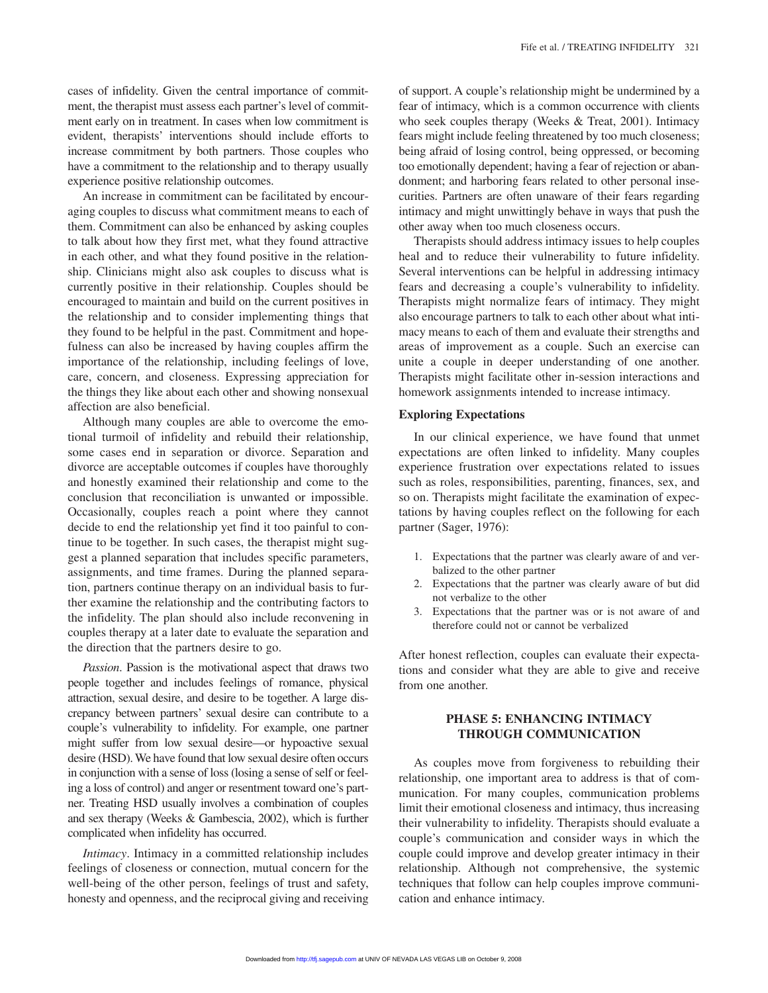cases of infidelity. Given the central importance of commitment, the therapist must assess each partner's level of commitment early on in treatment. In cases when low commitment is evident, therapists' interventions should include efforts to increase commitment by both partners. Those couples who have a commitment to the relationship and to therapy usually experience positive relationship outcomes.

An increase in commitment can be facilitated by encouraging couples to discuss what commitment means to each of them. Commitment can also be enhanced by asking couples to talk about how they first met, what they found attractive in each other, and what they found positive in the relationship. Clinicians might also ask couples to discuss what is currently positive in their relationship. Couples should be encouraged to maintain and build on the current positives in the relationship and to consider implementing things that they found to be helpful in the past. Commitment and hopefulness can also be increased by having couples affirm the importance of the relationship, including feelings of love, care, concern, and closeness. Expressing appreciation for the things they like about each other and showing nonsexual affection are also beneficial.

Although many couples are able to overcome the emotional turmoil of infidelity and rebuild their relationship, some cases end in separation or divorce. Separation and divorce are acceptable outcomes if couples have thoroughly and honestly examined their relationship and come to the conclusion that reconciliation is unwanted or impossible. Occasionally, couples reach a point where they cannot decide to end the relationship yet find it too painful to continue to be together. In such cases, the therapist might suggest a planned separation that includes specific parameters, assignments, and time frames. During the planned separation, partners continue therapy on an individual basis to further examine the relationship and the contributing factors to the infidelity. The plan should also include reconvening in couples therapy at a later date to evaluate the separation and the direction that the partners desire to go.

*Passion*. Passion is the motivational aspect that draws two people together and includes feelings of romance, physical attraction, sexual desire, and desire to be together. A large discrepancy between partners' sexual desire can contribute to a couple's vulnerability to infidelity. For example, one partner might suffer from low sexual desire—or hypoactive sexual desire (HSD). We have found that low sexual desire often occurs in conjunction with a sense of loss (losing a sense of self or feeling a loss of control) and anger or resentment toward one's partner. Treating HSD usually involves a combination of couples and sex therapy (Weeks & Gambescia, 2002), which is further complicated when infidelity has occurred.

*Intimacy*. Intimacy in a committed relationship includes feelings of closeness or connection, mutual concern for the well-being of the other person, feelings of trust and safety, honesty and openness, and the reciprocal giving and receiving

of support. A couple's relationship might be undermined by a fear of intimacy, which is a common occurrence with clients who seek couples therapy (Weeks & Treat, 2001). Intimacy fears might include feeling threatened by too much closeness; being afraid of losing control, being oppressed, or becoming too emotionally dependent; having a fear of rejection or abandonment; and harboring fears related to other personal insecurities. Partners are often unaware of their fears regarding intimacy and might unwittingly behave in ways that push the other away when too much closeness occurs.

Therapists should address intimacy issues to help couples heal and to reduce their vulnerability to future infidelity. Several interventions can be helpful in addressing intimacy fears and decreasing a couple's vulnerability to infidelity. Therapists might normalize fears of intimacy. They might also encourage partners to talk to each other about what intimacy means to each of them and evaluate their strengths and areas of improvement as a couple. Such an exercise can unite a couple in deeper understanding of one another. Therapists might facilitate other in-session interactions and homework assignments intended to increase intimacy.

#### **Exploring Expectations**

In our clinical experience, we have found that unmet expectations are often linked to infidelity. Many couples experience frustration over expectations related to issues such as roles, responsibilities, parenting, finances, sex, and so on. Therapists might facilitate the examination of expectations by having couples reflect on the following for each partner (Sager, 1976):

- 1. Expectations that the partner was clearly aware of and verbalized to the other partner
- 2. Expectations that the partner was clearly aware of but did not verbalize to the other
- 3. Expectations that the partner was or is not aware of and therefore could not or cannot be verbalized

After honest reflection, couples can evaluate their expectations and consider what they are able to give and receive from one another.

#### **PHASE 5: ENHANCING INTIMACY THROUGH COMMUNICATION**

As couples move from forgiveness to rebuilding their relationship, one important area to address is that of communication. For many couples, communication problems limit their emotional closeness and intimacy, thus increasing their vulnerability to infidelity. Therapists should evaluate a couple's communication and consider ways in which the couple could improve and develop greater intimacy in their relationship. Although not comprehensive, the systemic techniques that follow can help couples improve communication and enhance intimacy.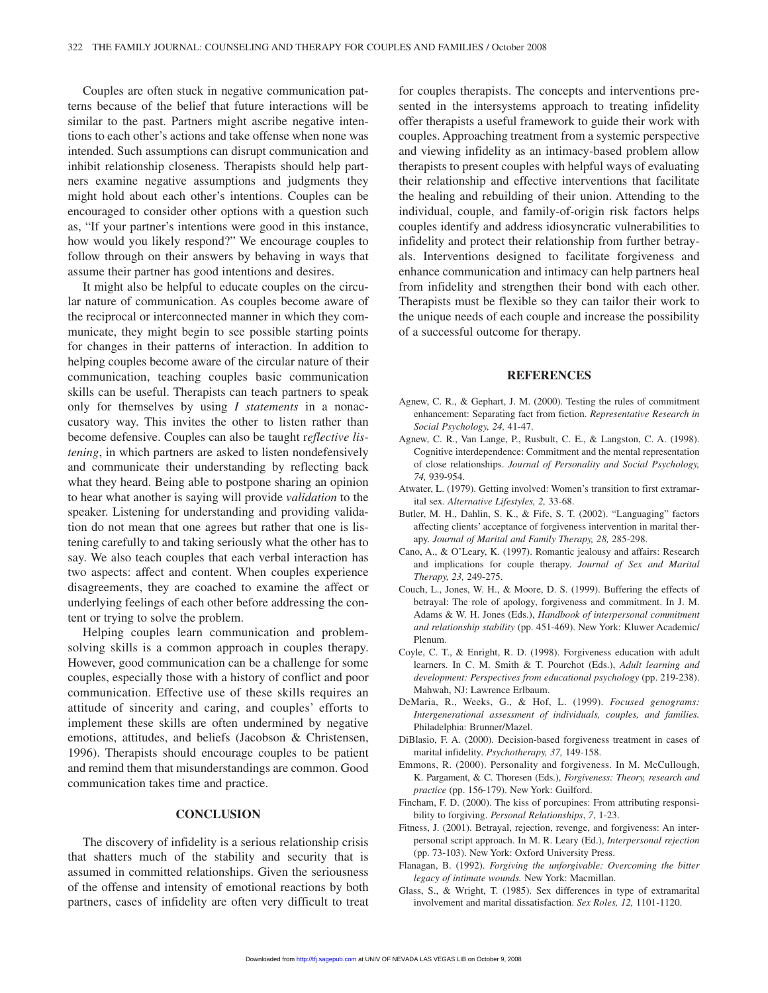Couples are often stuck in negative communication patterns because of the belief that future interactions will be similar to the past. Partners might ascribe negative intentions to each other's actions and take offense when none was intended. Such assumptions can disrupt communication and inhibit relationship closeness. Therapists should help partners examine negative assumptions and judgments they might hold about each other's intentions. Couples can be encouraged to consider other options with a question such as, "If your partner's intentions were good in this instance, how would you likely respond?" We encourage couples to follow through on their answers by behaving in ways that assume their partner has good intentions and desires.

It might also be helpful to educate couples on the circular nature of communication. As couples become aware of the reciprocal or interconnected manner in which they communicate, they might begin to see possible starting points for changes in their patterns of interaction. In addition to helping couples become aware of the circular nature of their communication, teaching couples basic communication skills can be useful. Therapists can teach partners to speak only for themselves by using *I statements* in a nonaccusatory way. This invites the other to listen rather than become defensive. Couples can also be taught r*eflective listening*, in which partners are asked to listen nondefensively and communicate their understanding by reflecting back what they heard. Being able to postpone sharing an opinion to hear what another is saying will provide *validation* to the speaker. Listening for understanding and providing validation do not mean that one agrees but rather that one is listening carefully to and taking seriously what the other has to say. We also teach couples that each verbal interaction has two aspects: affect and content. When couples experience disagreements, they are coached to examine the affect or underlying feelings of each other before addressing the content or trying to solve the problem.

Helping couples learn communication and problemsolving skills is a common approach in couples therapy. However, good communication can be a challenge for some couples, especially those with a history of conflict and poor communication. Effective use of these skills requires an attitude of sincerity and caring, and couples' efforts to implement these skills are often undermined by negative emotions, attitudes, and beliefs (Jacobson & Christensen, 1996). Therapists should encourage couples to be patient and remind them that misunderstandings are common. Good communication takes time and practice.

#### **CONCLUSION**

The discovery of infidelity is a serious relationship crisis that shatters much of the stability and security that is assumed in committed relationships. Given the seriousness of the offense and intensity of emotional reactions by both partners, cases of infidelity are often very difficult to treat

for couples therapists. The concepts and interventions presented in the intersystems approach to treating infidelity offer therapists a useful framework to guide their work with couples. Approaching treatment from a systemic perspective and viewing infidelity as an intimacy-based problem allow therapists to present couples with helpful ways of evaluating their relationship and effective interventions that facilitate the healing and rebuilding of their union. Attending to the individual, couple, and family-of-origin risk factors helps couples identify and address idiosyncratic vulnerabilities to infidelity and protect their relationship from further betrayals. Interventions designed to facilitate forgiveness and enhance communication and intimacy can help partners heal from infidelity and strengthen their bond with each other. Therapists must be flexible so they can tailor their work to the unique needs of each couple and increase the possibility of a successful outcome for therapy.

#### **REFERENCES**

- Agnew, C. R., & Gephart, J. M. (2000). Testing the rules of commitment enhancement: Separating fact from fiction. *Representative Research in Social Psychology, 24,* 41-47.
- Agnew, C. R., Van Lange, P., Rusbult, C. E., & Langston, C. A. (1998). Cognitive interdependence: Commitment and the mental representation of close relationships. *Journal of Personality and Social Psychology, 74,* 939-954.
- Atwater, L. (1979). Getting involved: Women's transition to first extramarital sex. *Alternative Lifestyles, 2,* 33-68.
- Butler, M. H., Dahlin, S. K., & Fife, S. T. (2002). "Languaging" factors affecting clients' acceptance of forgiveness intervention in marital therapy. *Journal of Marital and Family Therapy, 28,* 285-298.
- Cano, A., & O'Leary, K. (1997). Romantic jealousy and affairs: Research and implications for couple therapy. *Journal of Sex and Marital Therapy, 23,* 249-275.
- Couch, L., Jones, W. H., & Moore, D. S. (1999). Buffering the effects of betrayal: The role of apology, forgiveness and commitment. In J. M. Adams & W. H. Jones (Eds.), *Handbook of interpersonal commitment and relationship stability* (pp. 451-469). New York: Kluwer Academic/ Plenum.
- Coyle, C. T., & Enright, R. D. (1998). Forgiveness education with adult learners. In C. M. Smith & T. Pourchot (Eds.), *Adult learning and development: Perspectives from educational psychology* (pp. 219-238). Mahwah, NJ: Lawrence Erlbaum.
- DeMaria, R., Weeks, G., & Hof, L. (1999). *Focused genograms: Intergenerational assessment of individuals, couples, and families.* Philadelphia: Brunner/Mazel.
- DiBlasio, F. A. (2000). Decision-based forgiveness treatment in cases of marital infidelity. *Psychotherapy, 37,* 149-158.
- Emmons, R. (2000). Personality and forgiveness. In M. McCullough, K. Pargament, & C. Thoresen (Eds.), *Forgiveness: Theory, research and practice* (pp. 156-179). New York: Guilford.
- Fincham, F. D. (2000). The kiss of porcupines: From attributing responsibility to forgiving. *Personal Relationships*, *7*, 1-23.
- Fitness, J. (2001). Betrayal, rejection, revenge, and forgiveness: An interpersonal script approach. In M. R. Leary (Ed.), *Interpersonal rejection* (pp. 73-103). New York: Oxford University Press.
- Flanagan, B. (1992). *Forgiving the unforgivable: Overcoming the bitter legacy of intimate wounds.* New York: Macmillan.
- Glass, S., & Wright, T. (1985). Sex differences in type of extramarital involvement and marital dissatisfaction. *Sex Roles, 12,* 1101-1120.